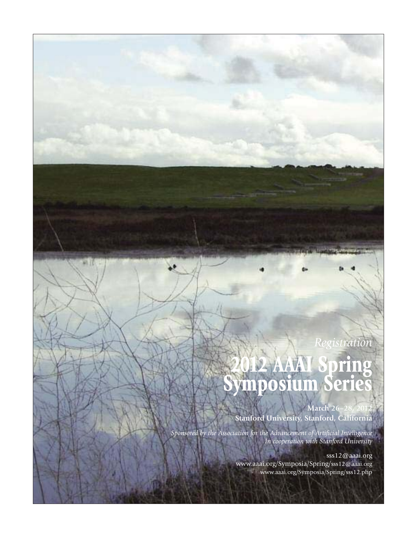# *Registration* **2012 AAAI Spring Symposium Series**

**March 26-28 Stanford University, Stanford, California**

*Sponsored by the Association for the Advancement of Artificial Intelligence In cooperation with Stanford University*

> sss12@aaai.org www.aaai.org/Symposia/Spring/sss12@aaai.org www.aaai.org/Symposia/Spring/sss12.php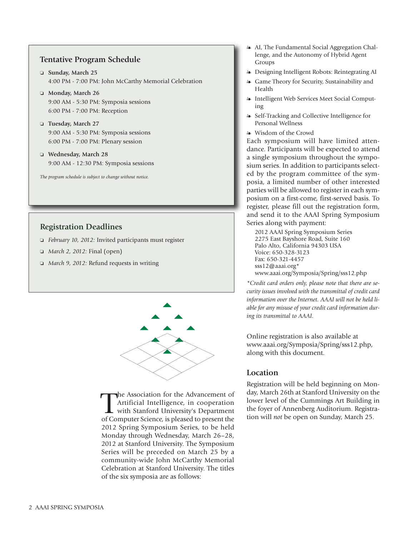# **Tentative Program Schedule**

- **Sunday, March 25** 4:00 PM - 7:00 PM: John McCarthy Memorial Celebration
- **Monday, March 26** 9:00 AM - 5:30 PM: Symposia sessions 6:00 PM - 7:00 PM: Reception
- **Tuesday, March 27** 9:00 AM - 5:30 PM: Symposia sessions 6:00 PM - 7:00 PM: Plenary session
- **Wednesday, March 28** 9:00 AM - 12:30 PM: Symposia sessions

*The program schedule is subject to change without notice.*

# **Registration Deadlines**

- *February 10, 2012:* Invited participants must register
- *March 2, 2012:* Final (open)
- *March 9, 2012:* Refund requests in writing



The Association for the Advancement of day, March 26th at Stanford University on the Artificial Intelligence, in cooperation lower level of the Cummings Art Building in the foyer of Annenberg Auditorium. Registra-<br>of Compu he Association for the Advancement of Artificial Intelligence, in cooperation with Stanford University's Department of Computer Science, is pleased to present the 2012 Spring Symposium Series, to be held Monday through Wednesday, March 26–28, 2012 at Stanford University. The Symposium Series will be preceded on March 25 by a community-wide John McCarthy Memorial Celebration at Stanford University. The titles of the six symposia are as follows:

- AI, The Fundamental Social Aggregation Challenge, and the Autonomy of Hybrid Agent Groups
- Designing Intelligent Robots: Reintegrating AI
- Game Theory for Security, Sustainability and Health
- Intelligent Web Services Meet Social Computing
- Self-Tracking and Collective Intelligence for Personal Wellness
- Wisdom of the Crowd

Each symposium will have limited attendance. Participants will be expected to attend a single symposium throughout the symposium series. In addition to participants selected by the program committee of the symposia, a limited number of other interested parties will be allowed to register in each symposium on a first-come, first-served basis. To register, please fill out the registration form, and send it to the AAAI Spring Symposium Series along with payment:

2012 AAAI Spring Symposium Series 2275 East Bayshore Road, Suite 160 Palo Alto, California 94303 USA Voice: 650-328-3123 Fax: 650-321-4457 sss12@aaai.org\* www.aaai.org/Symposia/Spring/sss12.php

*\*Credit card orders only, please note that there are security issues involved with the transmittal of credit card information over the Internet. AAAI will not be held liable for any misuse of your credit card information during its transmittal to AAAI.*

Online registration is also available at www.aaai.org/Symposia/Spring/sss12.php, along with this document.

# **Location**

Registration will be held beginning on Monday, March 26th at Stanford University on the lower level of the Cummings Art Building in tion will *not* be open on Sunday, March 25.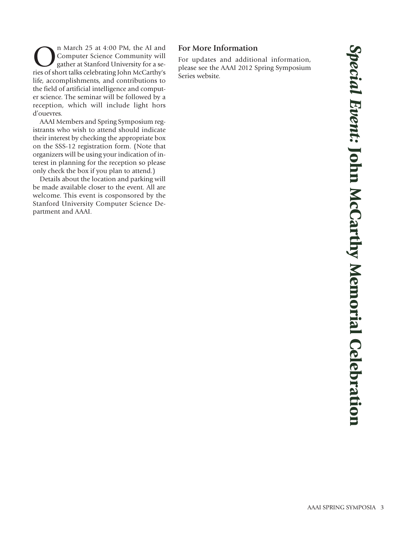n March 25 at 4:00 PM, the AI and Computer Science Community will gather at Stanford University for a series of short talks celebrating John McCarthy's life, accomplishments, and contributions to the field of artificial intelligence and computer science. The seminar will be followed by a reception, which will include light hors d'ouevres.

AAAI Members and Spring Symposium registrants who wish to attend should indicate their interest by checking the appropriate box on the SSS-12 registration form. (Note that organizers will be using your indication of interest in planning for the reception so please only check the box if you plan to attend.)

Details about the location and parking will be made available closer to the event. All are welcome. This event is cosponsored by the Stanford University Computer Science Department and AAAI.

# **For More Information**

For updates and additional information, please see the AAAI 2012 Spring Symposium Series website.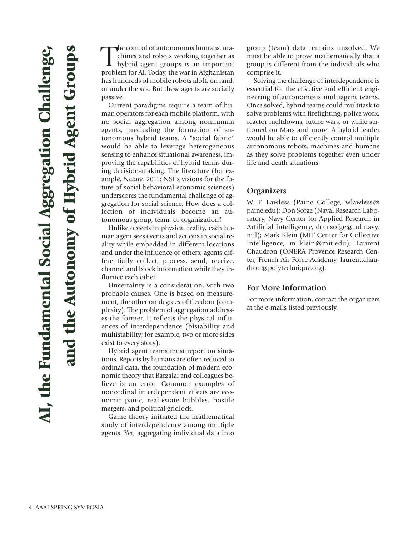The control of autonomous humans, machines and robots working together as<br>hybrid agent groups is an important<br>problem for AI. Today, the war in Afghanistan he control of autonomous humans, machines and robots working together as hybrid agent groups is an important has hundreds of mobile robots aloft, on land, or under the sea. But these agents are socially passive.

Current paradigms require a team of human operators for each mobile platform, with no social aggregation among nonhuman agents, precluding the formation of autonomous hybrid teams. A "social fabric" would be able to leverage heterogeneous sensing to enhance situational awareness, improving the capabilities of hybrid teams during decision-making. The literature (for example, *Nature,* 2011; NSF's visions for the future of social-behavioral-economic sciences) underscores the fundamental challenge of aggregation for social science. How does a collection of individuals become an autonomous group, team, or organization?

Unlike objects in physical reality, each human agent sees events and actions in social reality while embedded in different locations and under the influence of others; agents differentially collect, process, send, receive, channel and block information while they influence each other.

Uncertainty is a consideration, with two probable causes. One is based on measurement, the other on degrees of freedom (complexity). The problem of aggregation addresses the former. It reflects the physical influences of interdependence (bistability and multistability; for example, two or more sides exist to every story).

Hybrid agent teams must report on situations. Reports by humans are often reduced to ordinal data, the foundation of modern economic theory that Barzalai and colleagues believe is an error. Common examples of nonordinal interdependent effects are economic panic, real-estate bubbles, hostile mergers, and political gridlock.

Game theory initiated the mathematical study of interdependence among multiple agents. Yet, aggregating individual data into

group (team) data remains unsolved. We must be able to prove mathematically that a group is different from the individuals who comprise it.

Solving the challenge of interdependence is essential for the effective and efficient engineering of autonomous multiagent teams. Once solved, hybrid teams could multitask to solve problems with firefighting, police work, reactor meltdowns, future wars, or while stationed on Mars and more. A hybrid leader would be able to efficiently control multiple autonomous robots, machines and humans as they solve problems together even under life and death situations.

#### **Organizers**

W. F. Lawless (Paine College, wlawless@ paine.edu); Don Sofge (Naval Research Laboratory, Navy Center for Applied Research in Artificial Intelligence, don.sofge@nrl.navy. mil); Mark Klein (MIT Center for Collective Intelligence, m\_klein@mit.edu); Laurent Chaudron (ONERA Provence Research Center, French Air Force Academy, laurent.chaudron@polytechnique.org).

#### **For More Information**

For more information, contact the organizers at the e-mails listed previously.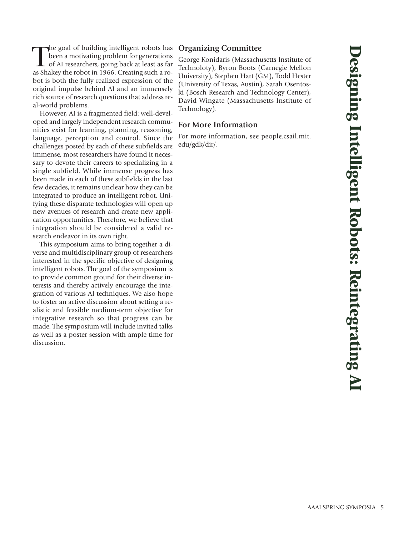The goal of building intelligent robots has<br>been a motivating problem for generations<br>of AI researchers, going back at least as far<br>as Shakey the robot in 1966. Creating such a rohe goal of building intelligent robots has been a motivating problem for generations of AI researchers, going back at least as far bot is both the fully realized expression of the original impulse behind AI and an immensely rich source of research questions that address real-world problems.

However, AI is a fragmented field: well-developed and largely independent research communities exist for learning, planning, reasoning, language, perception and control. Since the challenges posted by each of these subfields are immense, most researchers have found it necessary to devote their careers to specializing in a single subfield. While immense progress has been made in each of these subfields in the last few decades, it remains unclear how they can be integrated to produce an intelligent robot. Unifying these disparate technologies will open up new avenues of research and create new application opportunities. Therefore, we believe that integration should be considered a valid research endeavor in its own right.

This symposium aims to bring together a diverse and multidisciplinary group of researchers interested in the specific objective of designing intelligent robots. The goal of the symposium is to provide common ground for their diverse interests and thereby actively encourage the integration of various AI techniques. We also hope to foster an active discussion about setting a realistic and feasible medium-term objective for integrative research so that progress can be made. The symposium will include invited talks as well as a poster session with ample time for discussion.

# **Organizing Committee**

George Konidaris (Massachusetts Institute of Technoloty), Byron Boots (Carnegie Mellon University), Stephen Hart (GM), Todd Hester (University of Texas, Austin), Sarah Osentoski (Bosch Research and Technology Center), David Wingate (Massachusetts Institute of Technology).

#### **For More Information**

For more information, see people.csail.mit. edu/gdk/dir/.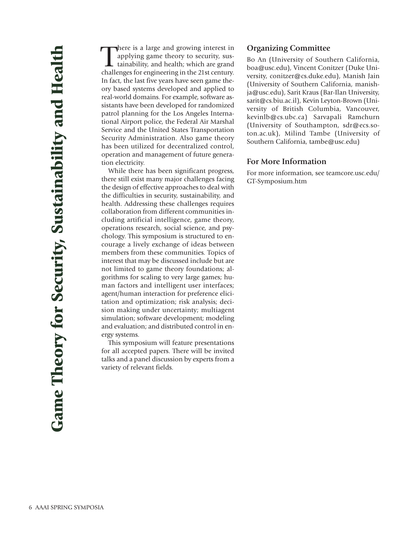There is a large and growing interest in applying game theory to security, sustainability, and health; which are grand challenges for engineering in the 21st century. here is a large and growing interest in applying game theory to security, sustainability, and health; which are grand In fact, the last five years have seen game theory based systems developed and applied to real-world domains. For example, software assistants have been developed for randomized patrol planning for the Los Angeles International Airport police, the Federal Air Marshal Service and the United States Transportation Security Administration. Also game theory has been utilized for decentralized control, operation and management of future generation electricity.

While there has been significant progress, there still exist many major challenges facing the design of effective approaches to deal with the difficulties in security, sustainability, and health. Addressing these challenges requires collaboration from different communities including artificial intelligence, game theory, operations research, social science, and psychology. This symposium is structured to encourage a lively exchange of ideas between members from these communities. Topics of interest that may be discussed include but are not limited to game theory foundations; algorithms for scaling to very large games; human factors and intelligent user interfaces; agent/human interaction for preference elicitation and optimization; risk analysis; decision making under uncertainty; multiagent simulation; software development; modeling and evaluation; and distributed control in energy systems.

This symposium will feature presentations for all accepted papers. There will be invited talks and a panel discussion by experts from a variety of relevant fields.

#### **Organizing Committee**

Bo An (University of Southern California, boa@usc.edu), Vincent Conitzer (Duke University, conitzer@cs.duke.edu), Manish Jain (University of Southern California, manishja@usc.edu), Sarit Kraus (Bar-Ilan University, sarit@cs.biu.ac.il), Kevin Leyton-Brown (University of British Columbia, Vancouver, kevinlb@cs.ubc.ca) Sarvapali Ramchurn (University of Southampton, sdr@ecs.soton.ac.uk), Milind Tambe (University of Southern California, tambe@usc.edu)

#### **For More Information**

For more information, see teamcore.usc.edu/ GT-Symposium.htm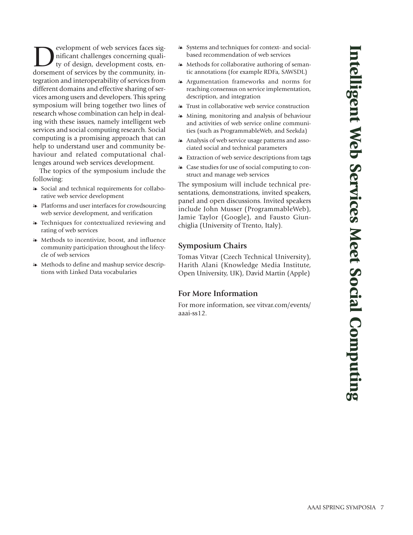**Development of web services faces significant challenges concerning quality of design, development costs, en-**<br>dorsement of services by the community innificant challenges concerning quality of design, development costs, endorsement of services by the community, integration and interoperability of services from different domains and effective sharing of services among users and developers. This spring symposium will bring together two lines of research whose combination can help in dealing with these issues, namely intelligent web services and social computing research. Social computing is a promising approach that can help to understand user and community behaviour and related computational challenges around web services development.

The topics of the symposium include the following:

- Social and technical requirements for collaborative web service development
- Platforms and user interfaces for crowdsourcing web service development, and verification
- Techniques for contextualized reviewing and rating of web services
- Methods to incentivize, boost, and influence community participation throughout the lifecycle of web services
- Methods to define and mashup service descriptions with Linked Data vocabularies
- Systems and techniques for context- and socialbased recommendation of web services
- Methods for collaborative authoring of semantic annotations (for example RDFa, SAWSDL)
- Argumentation frameworks and norms for reaching consensus on service implementation, description, and integration
- Trust in collaborative web service construction
- Mining, monitoring and analysis of behaviour and activities of web service online communities (such as ProgrammableWeb, and Seekda)
- Analysis of web service usage patterns and associated social and technical parameters
- Extraction of web service descriptions from tags
- Case studies for use of social computing to construct and manage web services

The symposium will include technical presentations, demonstrations, invited speakers, panel and open discussions. Invited speakers include John Musser (ProgrammableWeb), Jamie Taylor (Google), and Fausto Giunchiglia (University of Trento, Italy).

#### **Symposium Chairs**

Tomas Vitvar (Czech Technical University), Harith Alani (Knowledge Media Institute, Open University, UK), David Martin (Apple)

# **For More Information**

For more information, see vitvar.com/events/ aaai-ss12.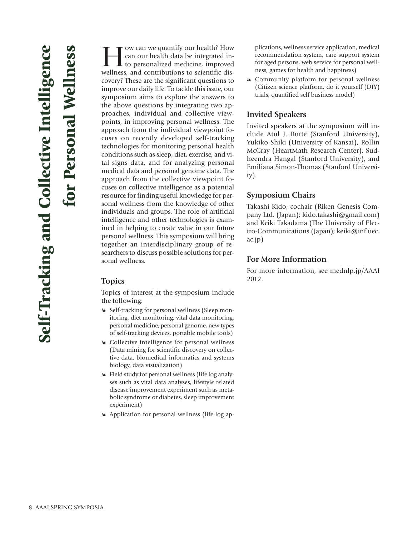for Personal Wellness

ow can we quantify our health? How can our health data be integrated into personalized medicine, improved wellness, and contributions to scientific discovery? These are the significant questions to improve our daily life. To tackle this issue, our symposium aims to explore the answers to the above questions by integrating two approaches, individual and collective viewpoints, in improving personal wellness. The approach from the individual viewpoint focuses on recently developed self-tracking technologies for monitoring personal health conditions such as sleep, diet, exercise, and vital signs data, and for analyzing personal medical data and personal genome data. The approach from the collective viewpoint focuses on collective intelligence as a potential resource for finding useful knowledge for personal wellness from the knowledge of other individuals and groups. The role of artificial intelligence and other technologies is examined in helping to create value in our future personal wellness. This symposium will bring together an interdisciplinary group of researchers to discuss possible solutions for personal wellness.

# **Topics**

Topics of interest at the symposium include the following:

- Self-tracking for personal wellness (Sleep monitoring, diet monitoring, vital data monitoring, personal medicine, personal genome, new types of self-tracking devices, portable mobile tools)
- Collective intelligence for personal wellness (Data mining for scientific discovery on collective data, biomedical informatics and systems biology, data visualization)
- Field study for personal wellness (life log analyses such as vital data analyses, lifestyle related disease improvement experiment such as metabolic syndrome or diabetes, sleep improvement experiment)
- Application for personal wellness (life log ap-

plications, wellness service application, medical recommendation system, care support system for aged persons, web service for personal wellness, games for health and happiness)

- Community platform for personal wellness (Citizen science platform, do it yourself (DIY) trials, quantified self business model)

# **Invited Speakers**

Invited speakers at the symposium will include Atul J. Butte (Stanford University), Yukiko Shiki (University of Kansai), Rollin McCray (HeartMath Research Center), Sudheendra Hangal (Stanford University), and Emiliana Simon-Thomas (Stanford University).

# **Symposium Chairs**

Takashi Kido, cochair (Riken Genesis Company Ltd. (Japan); kido.takashi@gmail.com) and Keiki Takadama (The University of Electro-Communications (Japan); keiki@inf.uec. ac.jp)

#### **For More Information**

For more information, see mednlp.jp/AAAI 2012.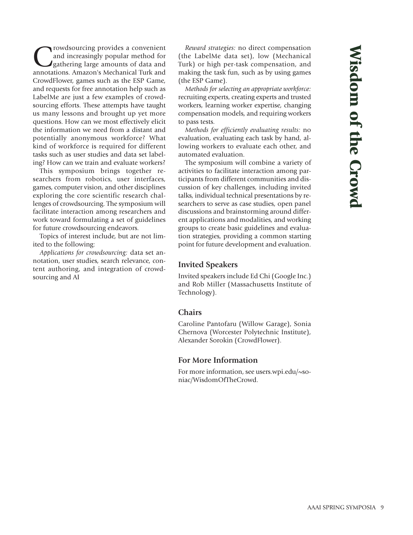Trowdsourcing provides a convenient<br>and increasingly popular method for<br>gathering large amounts of data and<br>annotations Amazon's Mechanical Turk and and increasingly popular method for gathering large amounts of data and annotations. Amazon's Mechanical Turk and CrowdFlower, games such as the ESP Game, and requests for free annotation help such as LabelMe are just a few examples of crowdsourcing efforts. These attempts have taught us many lessons and brought up yet more questions. How can we most effectively elicit the information we need from a distant and potentially anonymous workforce? What kind of workforce is required for different tasks such as user studies and data set labeling? How can we train and evaluate workers?

This symposium brings together researchers from robotics, user interfaces, games, computer vision, and other disciplines exploring the core scientific research challenges of crowdsourcing. The symposium will facilitate interaction among researchers and work toward formulating a set of guidelines for future crowdsourcing endeavors.

Topics of interest include, but are not limited to the following:

*Applications for crowdsourcing:* data set annotation, user studies, search relevance, content authoring, and integration of crowdsourcing and AI

*Reward strategies:* no direct compensation (the LabelMe data set), low (Mechanical Turk) or high per-task compensation, and making the task fun, such as by using games (the ESP Game).

*Methods for selecting an appropriate workforce:* recruiting experts, creating experts and trusted workers, learning worker expertise, changing compensation models, and requiring workers to pass tests.

*Methods for efficiently evaluating results:* no evaluation, evaluating each task by hand, allowing workers to evaluate each other, and automated evaluation.

The symposium will combine a variety of activities to facilitate interaction among participants from different communities and discussion of key challenges, including invited talks, individual technical presentations by researchers to serve as case studies, open panel discussions and brainstorming around different applications and modalities, and working groups to create basic guidelines and evaluation strategies, providing a common starting point for future development and evaluation.

#### **Invited Speakers**

Invited speakers include Ed Chi (Google Inc.) and Rob Miller (Massachusetts Institute of Technology).

#### **Chairs**

Caroline Pantofaru (Willow Garage), Sonia Chernova (Worcester Polytechnic Institute), Alexander Sorokin (CrowdFlower).

#### **For More Information**

For more information, see users.wpi.edu/~soniac/WisdomOfTheCrowd.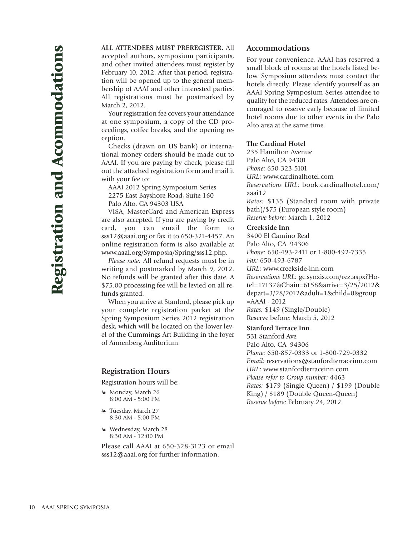**ALL ATTENDEES MUST PREREGISTER.** All accepted authors, symposium participants, and other invited attendees must register by February 10, 2012. After that period, registration will be opened up to the general membership of AAAI and other interested parties. All registrations must be postmarked by March 2, 2012.

Your registration fee covers your attendance at one symposium, a copy of the CD proceedings, coffee breaks, and the opening reception.

Checks (drawn on US bank) or international money orders should be made out to AAAI. If you are paying by check, please fill out the attached registration form and mail it with your fee to:

AAAI 2012 Spring Symposium Series 2275 East Bayshore Road, Suite 160 Palo Alto, CA 94303 USA

VISA, MasterCard and American Express are also accepted. If you are paying by credit card, you can email the form to sss12@aaai.org or fax it to 650-321-4457. An online registration form is also available at www.aaai.org/Symposia/Spring/sss12.php.

*Please note:* All refund requests must be in writing and postmarked by March 9, 2012. No refunds will be granted after this date. A \$75.00 processing fee will be levied on all refunds granted.

When you arrive at Stanford, please pick up your complete registration packet at the Spring Symposium Series 2012 registration desk, which will be located on the lower level of the Cummings Art Building in the foyer of Annenberg Auditorium.

#### **Registration Hours**

Registration hours will be:

- Monday, March 26 8:00 AM - 5:00 PM
- Tuesday, March 27 8:30 AM - 5:00 PM
- Wednesday, March 28 8:30 AM - 12:00 PM

Please call AAAI at 650-328-3123 or email sss12@aaai.org for further information.

#### **Accommodations**

For your convenience, AAAI has reserved a small block of rooms at the hotels listed below. Symposium attendees must contact the hotels directly. Please identify yourself as an AAAI Spring Symposium Series attendee to qualify for the reduced rates. Attendees are encouraged to reserve early because of limited hotel rooms due to other events in the Palo Alto area at the same time.

#### **The Cardinal Hotel**

235 Hamilton Avenue Palo Alto, CA 94301 *Phone:* 650-323-5101 *URL:* www.cardinalhotel.com *Reservations URL:* book.cardinalhotel.com/ aaai12 *Rates:* \$135 (Standard room with private bath)/\$75 (European style room) *Reserve before:* March 1, 2012

#### **Creekside Inn**

3400 El Camino Real Palo Alto, CA 94306 *Phone:* 650-493-2411 or 1-800-492-7335 *Fax:* 650-493-6787 *URL:* www.creekside-inn.com *Reservations URL:* gc.synxis.com/rez.aspx?Hotel=17137&Chain=6158&arrive=3/25/2012& depart=3/28/2012&adult=1&child=0&group  $=AAAI - 2012$ *Rates:* \$149 (Single/Double) Reserve before: March 5, 2012

#### **Stanford Terrace Inn**

531 Stanford Ave Palo Alto, CA 94306 *Phone:* 650-857-0333 or 1-800-729-0332 *Email:* reservations@stanfordterraceinn.com *URL:* www.stanfordterraceinn.com *Please refer to Group number:* 4463 *Rates:* \$179 (Single Queen) / \$199 (Double King) / \$189 (Double Queen-Queen) *Reserve before:* February 24, 2012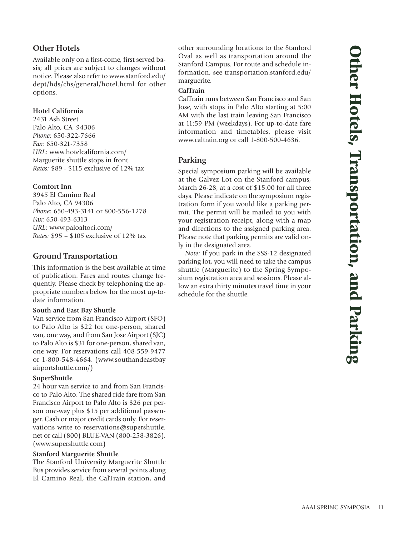Available only on a first-come, first served basis; all prices are subject to changes without notice. Please also refer to www.stanford.edu/ dept/hds/chs/general/hotel.html for other options.

#### **Hotel California**

2431 Ash Street Palo Alto, CA 94306 *Phone:* 650-322-7666 *Fax:* 650-321-7358 *URL:* www.hotelcalifornia.com/ Marguerite shuttle stops in front *Rates:* \$89 - \$115 exclusive of 12% tax

#### **Comfort Inn**

3945 El Camino Real Palo Alto, CA 94306 *Phone:* 650-493-3141 or 800-556-1278 *Fax:* 650-493-6313 *URL:* www.paloaltoci.com/ *Rates:* \$95 – \$105 exclusive of 12% tax

# **Ground Transportation**

This information is the best available at time of publication. Fares and routes change frequently. Please check by telephoning the appropriate numbers below for the most up-todate information.

#### **South and East Bay Shuttle**

Van service from San Francisco Airport (SFO) to Palo Alto is \$22 for one-person, shared van, one way, and from San Jose Airport (SJC) to Palo Alto is \$31 for one-person, shared van, one way. For reservations call 408-559-9477 or 1-800-548-4664. (www.southandeastbay airportshuttle.com/)

#### **SuperShuttle**

24 hour van service to and from San Francisco to Palo Alto. The shared ride fare from San Francisco Airport to Palo Alto is \$26 per person one-way plus \$15 per additional passenger. Cash or major credit cards only. For reservations write to reservations@supershuttle. net or call (800) BLUE-VAN (800-258-3826). (www.supershuttle.com)

#### **Stanford Marguerite Shuttle**

The Stanford University Marguerite Shuttle Bus provides service from several points along El Camino Real, the CalTrain station, and

other surrounding locations to the Stanford Oval as well as transportation around the Stanford Campus. For route and schedule information, see transportation.stanford.edu/ marguerite.

#### **CalTrain**

CalTrain runs between San Francisco and San Jose, with stops in Palo Alto starting at 5:00 AM with the last train leaving San Francisco at 11:59 PM (weekdays). For up-to-date fare information and timetables, please visit www.caltrain.org or call 1-800-500-4636.

# **Parking**

Special symposium parking will be available at the Galvez Lot on the Stanford campus, March 26-28, at a cost of \$15.00 for all three days. Please indicate on the symposium registration form if you would like a parking permit. The permit will be mailed to you with your registration receipt, along with a map and directions to the assigned parking area. Please note that parking permits are valid only in the designated area.

*Note:* If you park in the SSS-12 designated parking lot, you will need to take the campus shuttle (Marguerite) to the Spring Symposium registration area and sessions. Please allow an extra thirty minutes travel time in your schedule for the shuttle.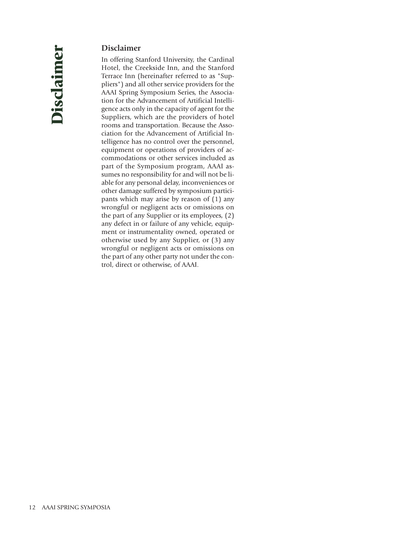# **Disclaimer**

In offering Stanford University, the Cardinal Hotel, the Creekside Inn, and the Stanford Terrace Inn (hereinafter referred to as "Suppliers") and all other service providers for the AAAI Spring Symposium Series, the Association for the Advancement of Artificial Intelligence acts only in the capacity of agent for the Suppliers, which are the providers of hotel rooms and transportation. Because the Association for the Advancement of Artificial Intelligence has no control over the personnel, equipment or operations of providers of accommodations or other services included as part of the Symposium program, AAAI assumes no responsibility for and will not be liable for any personal delay, inconveniences or other damage suffered by symposium participants which may arise by reason of (1) any wrongful or negligent acts or omissions on the part of any Supplier or its employees, (2) any defect in or failure of any vehicle, equipment or instrumentality owned, operated or otherwise used by any Supplier, or (3) any wrongful or negligent acts or omissions on the part of any other party not under the control, direct or otherwise, of AAAI.